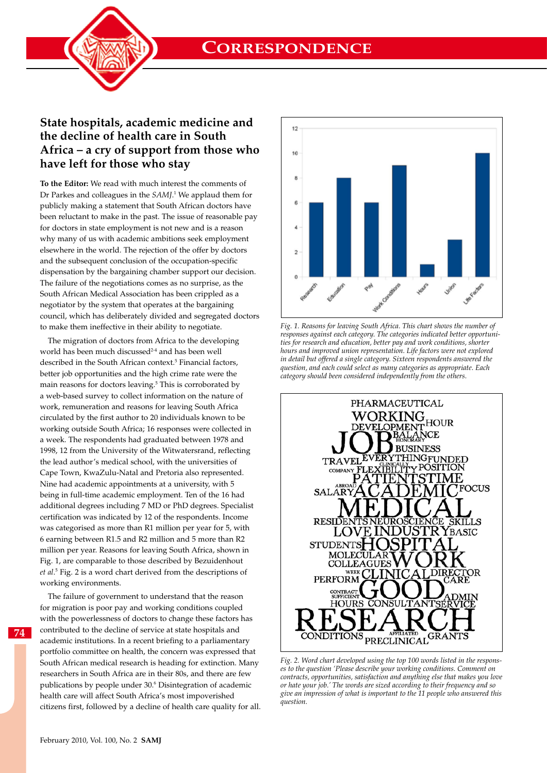**CORRESPONDENCE**



# **State hospitals, academic medicine and the decline of health care in South Africa – a cry of support from those who have left for those who stay**

**To the Editor:** We read with much interest the comments of Dr Parkes and colleagues in the *SAMJ*. 1 We applaud them for publicly making a statement that South African doctors have been reluctant to make in the past. The issue of reasonable pay for doctors in state employment is not new and is a reason why many of us with academic ambitions seek employment elsewhere in the world. The rejection of the offer by doctors and the subsequent conclusion of the occupation-specific dispensation by the bargaining chamber support our decision. The failure of the negotiations comes as no surprise, as the South African Medical Association has been crippled as a negotiator by the system that operates at the bargaining council, which has deliberately divided and segregated doctors to make them ineffective in their ability to negotiate.

The migration of doctors from Africa to the developing world has been much discussed<sup>2-4</sup> and has been well described in the South African context.<sup>5</sup> Financial factors, better job opportunities and the high crime rate were the main reasons for doctors leaving.<sup>5</sup> This is corroborated by a web-based survey to collect information on the nature of work, remuneration and reasons for leaving South Africa circulated by the first author to 20 individuals known to be working outside South Africa; 16 responses were collected in a week. The respondents had graduated between 1978 and 1998, 12 from the University of the Witwatersrand, reflecting the lead author's medical school, with the universities of Cape Town, KwaZulu-Natal and Pretoria also represented. Nine had academic appointments at a university, with 5 being in full-time academic employment. Ten of the 16 had additional degrees including 7 MD or PhD degrees. Specialist certification was indicated by 12 of the respondents. Income was categorised as more than R1 million per year for 5, with 6 earning between R1.5 and R2 million and 5 more than R2 million per year. Reasons for leaving South Africa, shown in Fig. 1, are comparable to those described by Bezuidenhout *et al*. 5 Fig. 2 is a word chart derived from the descriptions of working environments.

The failure of government to understand that the reason for migration is poor pay and working conditions coupled with the powerlessness of doctors to change these factors has contributed to the decline of service at state hospitals and academic institutions. In a recent briefing to a parliamentary portfolio committee on health, the concern was expressed that South African medical research is heading for extinction. Many researchers in South Africa are in their 80s, and there are few publications by people under 30.6 Disintegration of academic health care will affect South Africa's most impoverished citizens first, followed by a decline of health care quality for all.



*Fig. 1. Reasons for leaving South Africa. This chart shows the number of responses against each category. The categories indicated better opportunities for research and education, better pay and work conditions, shorter hours and improved union representation. Life factors were not explored in detail but offered a single category. Sixteen respondents answered the question, and each could select as many categories as appropriate. Each category should been considered independently from the others.*



*Fig. 2. Word chart developed using the top 100 words listed in the responses to the question 'Please describe your working conditions. Comment on contracts, opportunities, satisfaction and anything else that makes you love or hate your job.' The words are sized according to their frequency and so give an impression of what is important to the 11 people who answered this question.* 

**74**